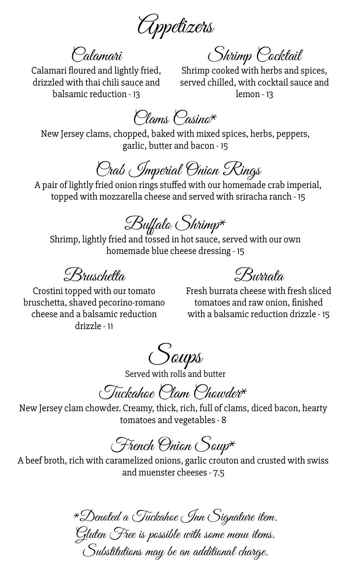Appetizers

Calamari

Shrimp Cocktail

Calamari floured and lightly fried, drizzled with thai chili sauce and balsamic reduction - 13

Shrimp cooked with herbs and spices, served chilled, with cocktail sauce and lemon - 13

Clams Casino\*

New Jersey clams, chopped, baked with mixed spices, herbs, peppers, garlic, butter and bacon - 15

Crab Imperial Onion Rings

A pair of lightly fried onion rings stuffed with our homemade crab imperial, topped with mozzarella cheese and served with sriracha ranch - 15

 $\mathscr{B}$ uffalo Shrimp $^\star$ 

Shrimp, lightly fried and tossed in hot sauce, served with our own homemade blue cheese dressing - 15

Bruschetta

Burrata

Crostini topped with our tomato bruschetta, shaved pecorino-romano cheese and a balsamic reduction drizzle - 11

Fresh burrata cheese with fresh sliced tomatoes and raw onion, finished with a balsamic reduction drizzle - 15

Soups

Served with rolls and butter

Tuckahoe Clam Chowder\*

New Jersey clam chowder. Creamy, thick, rich, full of clams, diced bacon, hearty tomatoes and vegetables - 8

French Onion Soup\*

A beef broth, rich with caramelized onions, garlic crouton and crusted with swiss and muenster cheeses - 7.5

\*Denoted a Tuckahoe Inn Signature item. Gluten 'Free is possible with some menu items.

Substitutions may be an additional charge.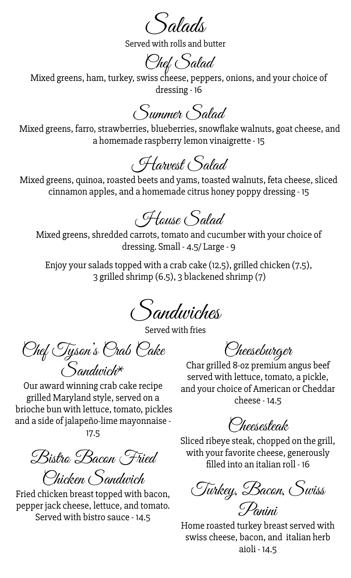Salads

Served with rolls and butter

Chef Salad

Mixed greens, ham, turkey, swiss cheese, peppers, onions, and your choice of dressing - 16

Summer Salad

Mixed greens, farro, strawberries, blueberries, snowflake walnuts, goat cheese, and a homemade raspberry lemon vinaigrette - 15

Harvest Salad

Mixed greens, quinoa, roasted beets and yams, toasted walnuts, feta cheese, sliced cinnamon apples, and a homemade citrus honey poppy dressing - 15

House Salad

Mixed greens, shredded carrots, tomato and cucumber with your choice of dressing. Small - 4.5/ Large - 9

Enjoy your salads topped with a crab cake (12.5), grilled chicken (7.5), 3 grilled shrimp (6.5), 3 blackened shrimp (7)

Sandwiches

Served with fries

Chef Tyson's Crab Cake Sandwich\*

Our award winning crab cake recipe grilled Maryland style, served on a brioche bun with lettuce, tomato, pickles and a side of jalapeño-lime mayonnaise - 17.5

Bistro Bacon Fried

Chicken Sandwich Fried chicken breast topped with bacon, pepper jack cheese, lettuce, and tomato. Served with bistro sauce - 14.5

Cheeseburger

Char grilled 8-oz premium angus beef served with lettuce, tomato, a pickle, and your choice of American or Cheddar cheese - 14.5

Cheesesteak

Sliced ribeye steak, chopped on the grill, with your favorite cheese, generously filled into an italian roll - 16

Turkey, Bacon, Swiss Panini

Home roasted turkey breast served with swiss cheese, bacon, and italian herb aioli - 14.5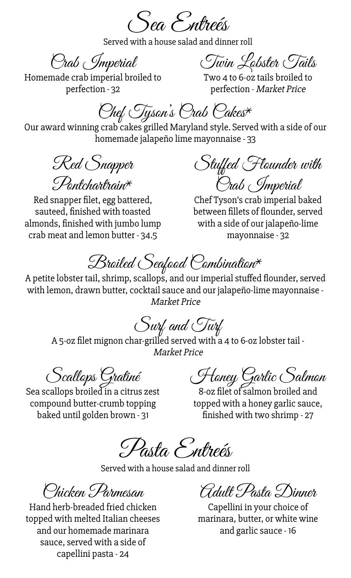Sea Entreés

Served with a house salad and dinner roll

Crab Imperial

Twin Lobster Tails

Homemade crab imperial broiled to perfection - 32

Two 4 to 6-oz tails broiled to perfection - Market Price

Chef Tyson's Crab Cakes\*

Our award winning crab cakes grilled Maryland style. Served with a side of our homemade jalapeño lime mayonnaise - 33

Red Snapper  $\mathcal{P}_{\text{onf}chathain}$ 

Red snapper filet, egg battered, sauteed, finished with toasted almonds, finished with jumbo lump crab meat and lemon butter - 34.5

Stuffed Flounder with Crab Imperial

Chef Tyson's crab imperial baked between fillets of flounder, served with a side of our jalapeño-lime mayonnaise - 32

Broiled Seafood Combination\*

A petite lobster tail, shrimp, scallops, and our imperial stuffed flounder, served with lemon, drawn butter, cocktail sauce and our jalapeño-lime mayonnaise - Market Price

Surf and Turf

A 5-oz filet mignon char-grilled served with a 4 to 6-oz lobster tail - Market Price

Scallops Gratiné

Sea scallops broiled in a citrus zest compound butter-crumb topping baked until golden brown - 31

Honey Garlic Salmon

8-oz filet of salmon broiled and topped with a honey garlic sauce, finished with two shrimp - 27

Pasta Entreés

Served with a house salad and dinner roll

Chicken Parmesan

Hand herb-breaded fried chicken topped with melted Italian cheeses and our homemade marinara sauce, served with a side of capellini pasta - 24

Adult Pasta Dinner

Capellini in your choice of marinara, butter, or white wine and garlic sauce - 16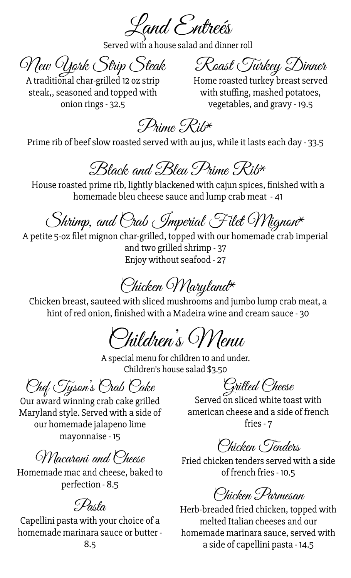Land Entreés

Served with a house salad and dinner roll

New York Strip Steak Roast Turkey Dinner

A traditional char-grilled 12 oz strip Home roasted turkey breast served

steak,, seasoned and topped with onion rings - 32.5

with stuffing, mashed potatoes, vegetables, and gravy - 19.5

Prime Rib\*

Prime rib of beef slow roasted served with au jus, while it lasts each day - 33.5

### Black and Bleu Prime Rib\*

House roasted prime rib, lightly blackened with cajun spices, finished with a homemade bleu cheese sauce and lump crab meat - 41

# Shrimp, and Orab Imperial Filet Wignon\*

A petite 5-oz filet mignon char-grilled, topped with our homemade crab imperial and two grilled shrimp - 37 Enjoy without seafood - 27

# Chicken Maryland\*

Chicken breast, sauteed with sliced mushrooms and jumbo lump crab meat, a hint of red onion, finished with a Madeira wine and cream sauce - 30

Children's Menu

A special menu for children 10 and under. Children's house salad \$3.50

Chef Tyson's Crab Cake

Our award winning crab cake grilled Maryland style. Served with a side of our homemade jalapeno lime mayonnaise - 15

#### Macaroni and Cheese

Homemade mac and cheese, baked to perfection - 8.5

#### Pasta

Capellini pasta with your choice of a homemade marinara sauce or butter -

Grilled Cheese

Served on sliced white toast with american cheese and a side of french fries - 7

Chicken Tenders

Fried chicken tenders served with a side of french fries - 10.5

Chicken Parmesan

Herb-breaded fried chicken, topped with melted Italian cheeses and our homemade marinara sauce, served with a side of capellini pasta - 14.5